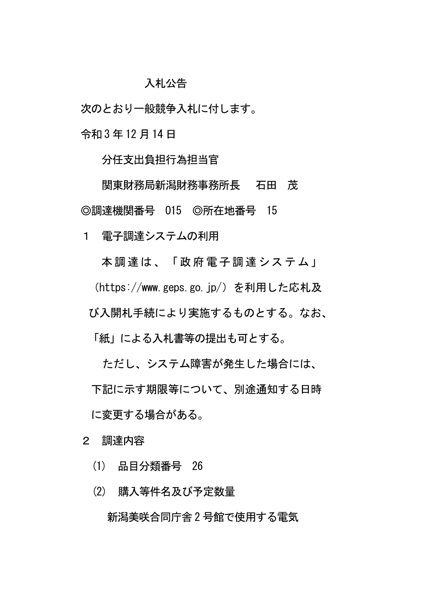## 入札公告

次のとおり一般競争入札に付します。

令和 3 年 12 月14 日

分任支出負担行為担当官

関東財務局新潟財務事務所長 石田 茂 ◎調達機関番号 O15 ◎所在地番号 15

1 電子調達システムの利用

本調達は、「政府電子調達システム」

(https://www.geps.go.jp/)を利用した応札及

び入開札手続により実施するものとする。なお、

「紙」による入札書等の提出も可とする。

ただし、システム障害が発生した場合には、

下記に示す期限等について、別途通知する日時

に変更する場合がある。

2 調達内容

(1) 品目分類番号 26

(2) 購入等件名及び予定数量

新潟美咲合同庁舎 2 号館で使用する電気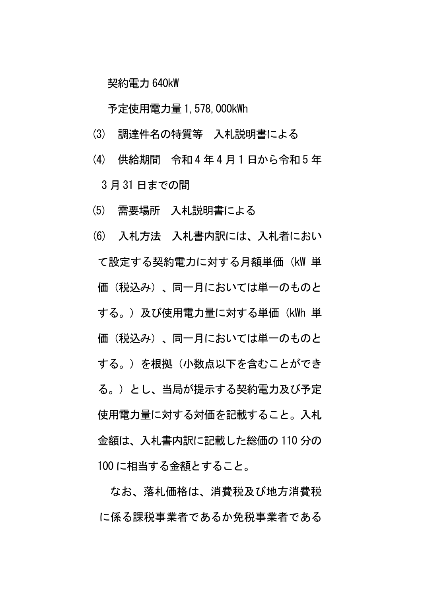契約電力 640kW

予定使用電力量 1,578,000kWh

- (3) 調達件名の特質等 入札説明書による
- (4) 供給期間 令和 4 年 4 月 1 日から令和 5 年 3 月 31 日までの間
- (5) 需要場所 入札説明書による

(6) 入札方法 入札書内訳には、入札者におい て設定する契約電力に対する月額単価(kW 単 価(税込み)、同一月においては単一のものと する。)及び使用雷力量に対する単価(kWh 単 価(税込み)、同一月においては単一のものと する。) を根拠(小数点以下を含むことができ る。)とし、当局が提示する契約電力及び予定 使用電力量に対する対価を記載すること。入札 金額は、入札書内訳に記載した総価の 110 分の 100 に相当する金額とすること。

なお、落札価格は、消費税及び地方消費税 に係る課税事業者であるか免税事業者である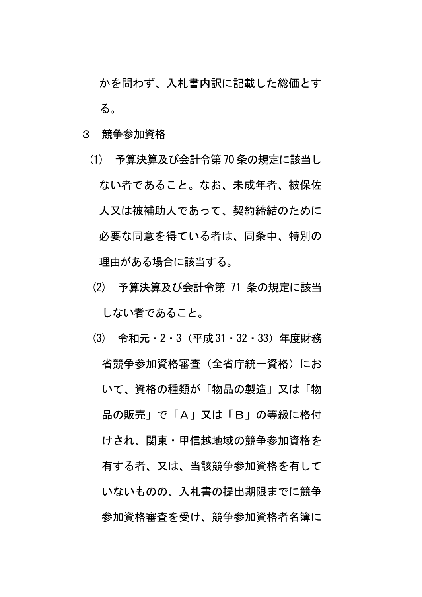かを問わず、入札書内訳に記載した総価とす る。

- 3 競争参加資格
	- (1) 予算決算及び会計令第70 条の規定に該当し ない者であること。なお、未成年者、被保佐 人又は被補助人であって、契約締結のために 必要な同意を得ている者は、同条中、特別の 理由がある場合に該当する。
	- (2) 予算決算及び会計令第 71 条の規定に該当 しない者であること。
	- (3) 令和元・2・3(平成31・32・33)年度財務 省競争参加資格審査(全省庁統一資格)にお いて、資格の種類が「物品の製造」又は「物 品の販売」で「A」又は「B」の等級に格付 けされ、関東・甲信越地域の競争参加資格を 有する者、又は、当該競争参加資格を有して いないものの、入札書の提出期限までに競争 参加資格審査を受け、競争参加資格者名簿に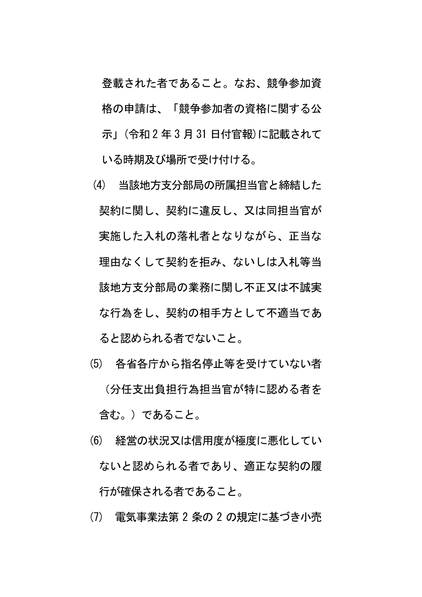登載された者であること。なお、競争参加資 格の申請は、「競争参加者の資格に関する公 示」(令和 2 年 3 月 31 日付官報)に記載されて いる時期及び場所で受け付ける。

- (4) 当該地方支分部局の所属担当官と締結した 契約に関し、契約に違反し、又は同担当官が 実施した入札の落札者となりながら、正当な 理由なくして契約を拒み、ないしは入札等当 該地方支分部局の業務に関し不正又は不誠実 な行為をし、契約の相手方として不適当であ ると認められる者でないこと。
- (5) 各省各庁から指名停止等を受けていない者 (分任支出負担行為担当官が特に認める者を 含む。)であること。
- (6) 経営の状況又は信用度が極度に悪化してい ないと認められる者であり、適正な契約の履 行が確保される者であること。
- (7) 電気事業法第 2 条の 2 の規定に基づき小売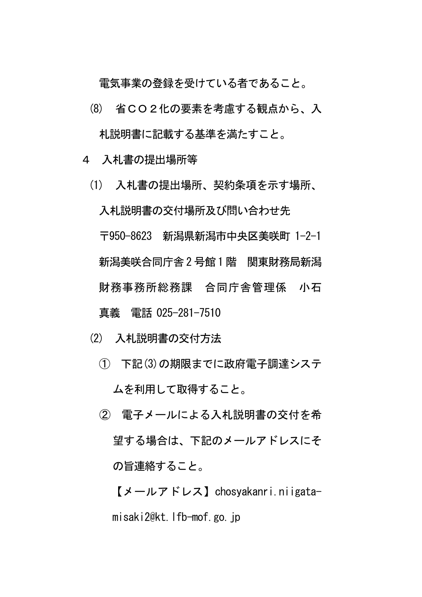電気事業の登録を受けている者であること。

- (8) 省CO2化の要素を考慮する観点から、入 札説明書に記載する基準を満たすこと。
- 4 入札書の提出場所等
	- (1) 入札書の提出場所、契約条項を示す場所、 入札説明書の交付場所及び問い合わせ先 〒950-8623 新潟県新潟市中央区美咲町 1-2-1 新潟美咲合同庁舎2 号館1 階 関東財務局新潟 財務事務所総務課 合同庁舎管理係 小石 真義 電話 025-281-7510
	- (2) 入札説明書の交付方法
		- ① 下記(3)の期限までに政府電子調達システ ムを利用して取得すること。
		- ② 電子メールによる入札説明書の交付を希 望する場合は、下記のメールアドレスにそ の旨連絡すること。

【メールアドレス】chosyakanri.niigatamisaki2@kt.lfb-mof.go.jp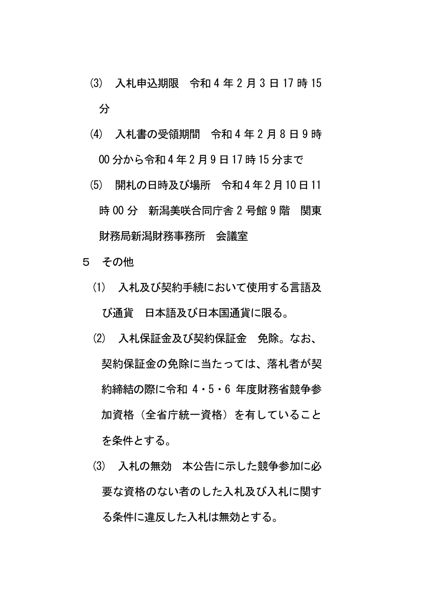- (3) 入札申込期限 令和 4 年 2 月 3 日 17 時 15 分
- (4) 入札書の受領期間 令和 4 年 2 月 8 日 9 時 00 分から令和 4 年 2 月 9 日 17 時 15 分まで
- (5) 開札の日時及び場所 令和4 年2 月10日11 時 00 分 新潟美咲合同庁舎 2 号館 9 階 関東 財務局新潟財務事務所 会議室
- 5 その他
	- (1) 入札及び契約手続において使用する言語及 び通貨 日本語及び日本国通貨に限る。
	- (2) 入札保証金及び契約保証金 免除。なお、 契約保証金の免除に当たっては、落札者が契 約締結の際に令和 4・5・6 年度財務省競争参 加資格(全省庁統一資格)を有していること を条件とする。
	- (3) 入札の無効 本公告に示した競争参加に必 要な資格のない者のした入札及び入札に関す る条件に違反した入札は無効とする。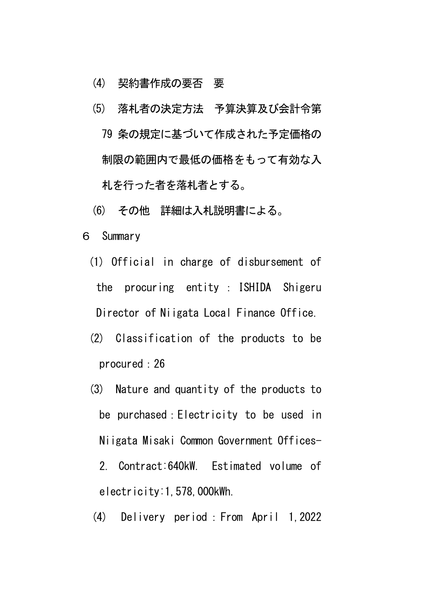- (4) 契約書作成の要否 要
- (5) 落札者の決定方法 予算決算及び会計令第 79 条の規定に基づいて作成された予定価格の 制限の範囲内で最低の価格をもって有効な入 札を行った者を落札者とする。
- (6) その他 詳細は入札説明書による。
- 6 Summary
	- (1) Official in charge of disbursement of the procuring entity : ISHIDA Shigeru Director of Niigata Local Finance Office.
	- (2) Classification of the products to be procured:26
	- (3) Nature and quantity of the products to be purchased:Electricity to be used in Niigata Misaki Common Government Offices-2. Contract:640kW. Estimated volume of electricity:1,578,000kWh.
	- (4) Delivery period:From April 1,2022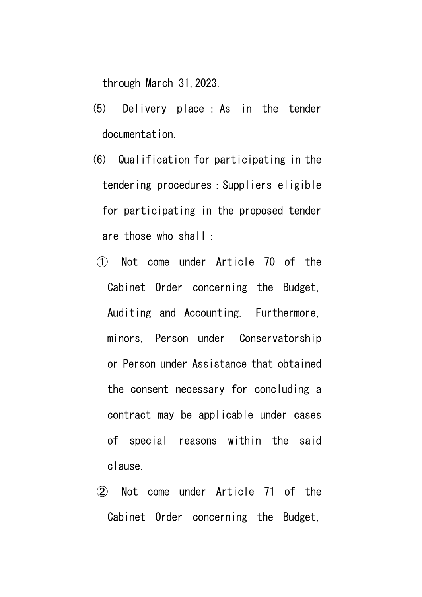through March 31,2023.

- (5) Delivery place :As in the tender documentation.
- (6) Qualification for participating in the tendering procedures:Suppliers eligible for participating in the proposed tender are those who shall:
- ① Not come under Article 70 of the Cabinet Order concerning the Budget, Auditing and Accounting. Furthermore, minors, Person under Conservatorship or Person under Assistance that obtained the consent necessary for concluding a contract may be applicable under cases of special reasons within the said clause.
- ② Not come under Article 71 of the Cabinet Order concerning the Budget,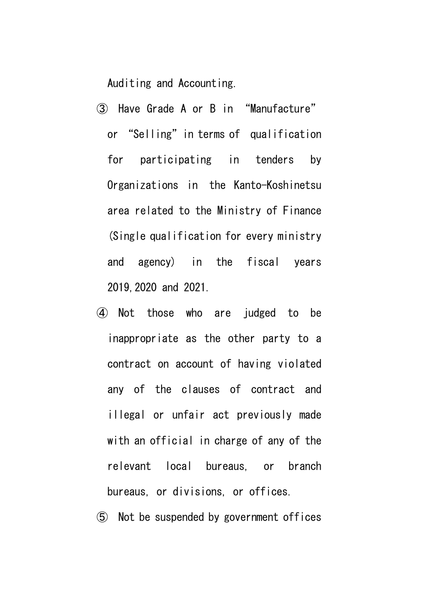Auditing and Accounting.

- ③ Have Grade A or B in "Manufacture" or "Selling" in terms of qualification for participating in tenders by Organizations in the Kanto-Koshinetsu area related to the Ministry of Finance (Single qualification for every ministry and agency) in the fiscal years 2019,2020 and 2021.
- ④ Not those who are judged to be inappropriate as the other party to a contract on account of having violated any of the clauses of contract and illegal or unfair act previously made with an official in charge of any of the relevant local bureaus, or branch bureaus, or divisions, or offices.
- ⑤ Not be suspended by government offices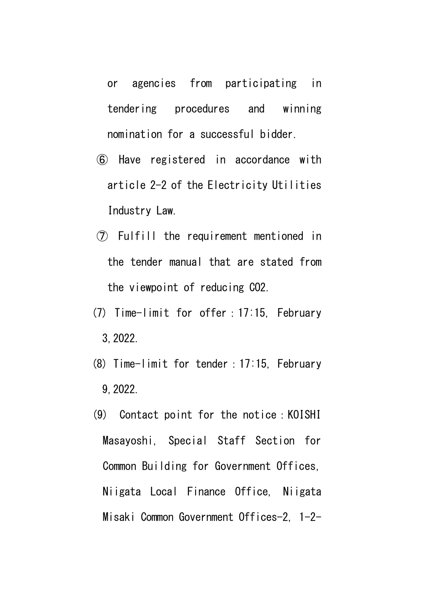or agencies from participating in tendering procedures and winning nomination for a successful bidder.

- ⑥ Have registered in accordance with article 2-2 of the Electricity Utilities Industry Law.
- ⑦ Fulfill the requirement mentioned in the tender manual that are stated from the viewpoint of reducing CO2.
- (7) Time-limit for offer:17:15, February 3,2022.
- (8) Time-limit for tender:17:15, February 9,2022.
- (9) Contact point for the notice:KOISHI Masayoshi, Special Staff Section for Common Building for Government Offices, Niigata Local Finance Office, Niigata Misaki Common Government Offices-2, 1-2-